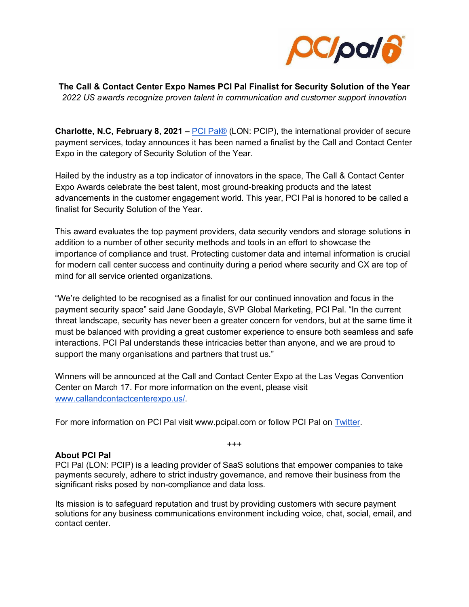

**The Call & Contact Center Expo Names PCI Pal Finalist for Security Solution of the Year**  *2022 US awards recognize proven talent in communication and customer support innovation*

**Charlotte, N.C, February 8, 2021 –** [PCI Pal®](https://www.pcipal.com/) (LON: PCIP), the international provider of secure payment services, today announces it has been named a finalist by the Call and Contact Center Expo in the category of Security Solution of the Year.

Hailed by the industry as a top indicator of innovators in the space, The Call & Contact Center Expo Awards celebrate the best talent, most ground-breaking products and the latest advancements in the customer engagement world. This year, PCI Pal is honored to be called a finalist for Security Solution of the Year.

This award evaluates the top payment providers, data security vendors and storage solutions in addition to a number of other security methods and tools in an effort to showcase the importance of compliance and trust. Protecting customer data and internal information is crucial for modern call center success and continuity during a period where security and CX are top of mind for all service oriented organizations.

"We're delighted to be recognised as a finalist for our continued innovation and focus in the payment security space" said Jane Goodayle, SVP Global Marketing, PCI Pal. "In the current threat landscape, security has never been a greater concern for vendors, but at the same time it must be balanced with providing a great customer experience to ensure both seamless and safe interactions. PCI Pal understands these intricacies better than anyone, and we are proud to support the many organisations and partners that trust us."

Winners will be announced at the Call and Contact Center Expo at the Las Vegas Convention Center on March 17. For more information on the event, please visit [www.callandcontactcenterexpo.us/.](https://www.callandcontactcenterexpo.us/)

For more information on PCI Pal visit www.pcipal.com or follow PCI Pal on [Twitter.](https://twitter.com/PCIPAL?ref_src=twsrc%5Egoogle%7Ctwcamp%5Eserp%7Ctwgr%5Eauthor)

## **About PCI Pal**

PCI Pal (LON: PCIP) is a leading provider of SaaS solutions that empower companies to take payments securely, adhere to strict industry governance, and remove their business from the significant risks posed by non-compliance and data loss.

+++

Its mission is to safeguard reputation and trust by providing customers with secure payment solutions for any business communications environment including voice, chat, social, email, and contact center.